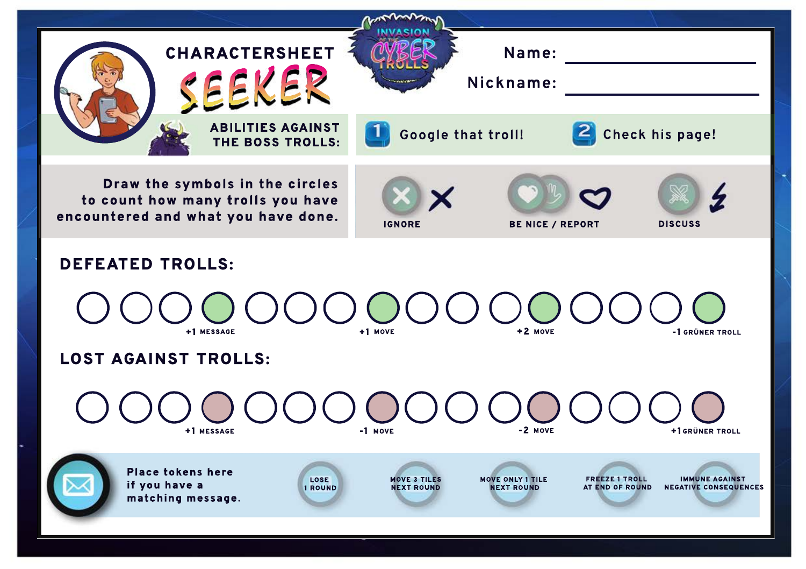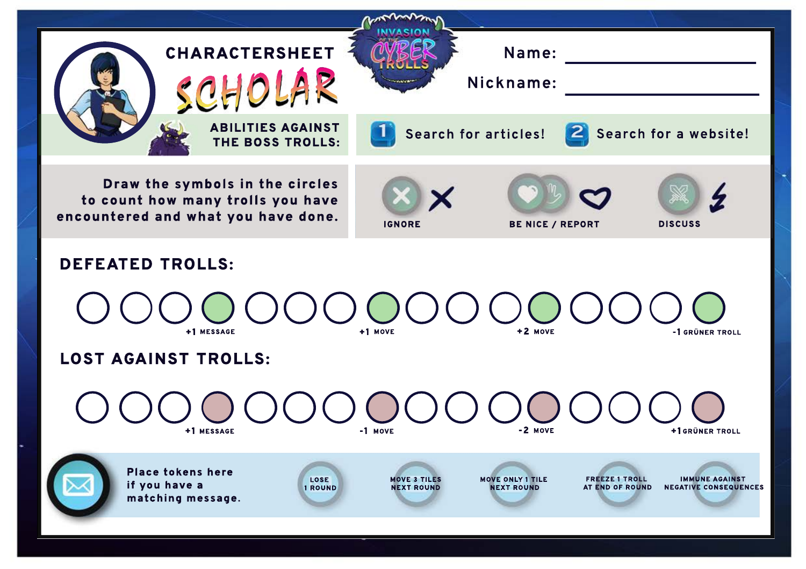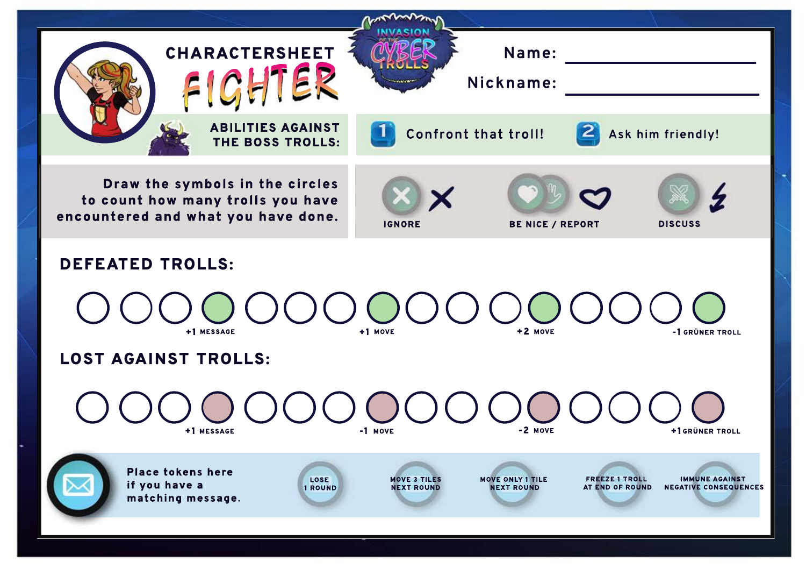